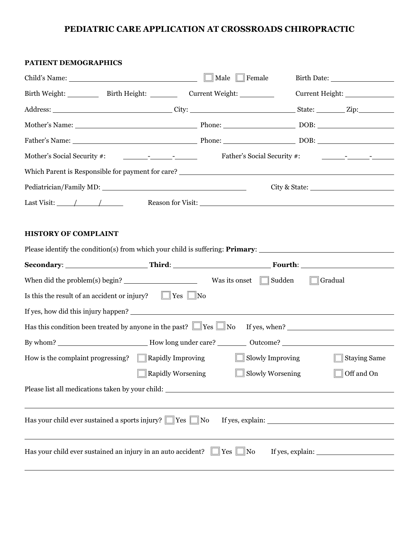#### **PEDIATRIC CARE APPLICATION AT CROSSROADS CHIROPRACTIC**

# **PATIENT DEMOGRAPHICS** Child's Name: Male Female Birth Date: Birth Weight: \_\_\_\_\_\_\_\_\_\_\_\_ Birth Height: \_\_\_\_\_\_\_\_\_\_\_\_\_\_\_ Current Weight: \_\_\_\_\_\_\_\_\_\_\_\_\_\_\_\_\_\_\_\_\_\_\_\_\_\_\_ Address: City: State: Zip: Mother's Name: Notice and DOB: Notice and DOB: Notice and DOB: Notice and DOB: Notice and DOB: Notice and DOB: Notice and DOB: Notice and DOB: Notice and DOB: Notice and DOB: Notice and DOB: Notice and DOB: Notice and DOB: Father's Name: Phone: DOB: Mother's Social Security #:  $\frac{1}{2}$  -  $\frac{1}{2}$  Father's Social Security #:  $\frac{1}{2}$  -  $\frac{1}{2}$ Which Parent is Responsible for payment for care? Pediatrician/Family MD: City & State: Last Visit: / / Reason for Visit: **HISTORY OF COMPLAINT** Please identify the condition(s) from which your child is suffering: **Primary**: **Secondary**: **Third**: **Fourth**: When did the problem(s) begin? Was its onset  $\Box$  Sudden  $\Box$  Gradual Is this the result of an accident or injury?  $\Box$  Yes  $\Box$  No If yes, how did this injury happen? Has this condition been treated by anyone in the past?  $\Box$  Yes  $\Box$  No If yes, when? By whom? How long under care? Outcome? How is the complaint progressing?  $\Box$  Rapidly Improving  $\Box$  Slowly Improving  $\Box$  Staying Same Rapidly Worsening Slowly Worsening Slowly Worsening To Stand On Please list all medications taken by your child: Has your child ever sustained a sports injury?  $\Box$  Yes  $\Box$  No If yes, explain:

Has your child ever sustained an injury in an auto accident?  $\Box$  Yes  $\Box$  No If yes, explain: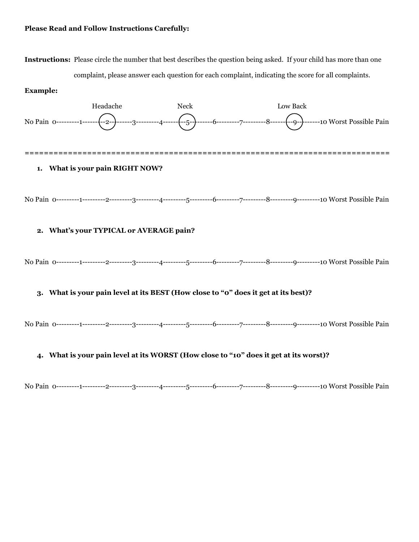#### **Please Read and Follow Instructions Carefully:**

**Instructions:** Please circle the number that best describes the question being asked. If your child has more than one complaint, please answer each question for each complaint, indicating the score for all complaints.

#### **Example:**



No Pain 0---------1---------2---------3---------4---------5---------6---------7---------8---------9---------10 Worst Possible Pain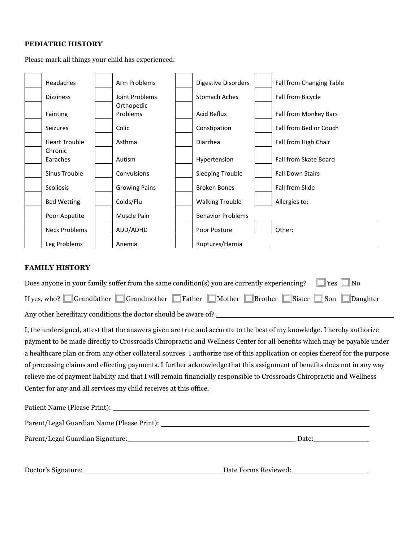#### **PEDIATRIC HISTORY**

Please mark all things your child has experienced:



#### **FAMILY HISTORY**

| Does anyone in your family suffer from the same condition(s) you are currently experiencing? $\Box$ Yes $\Box$ No |
|-------------------------------------------------------------------------------------------------------------------|
| If yes, who? Grandfather Grandmother Father Mother Brother Sister Son Daughter                                    |
| Any other hereditary conditions the doctor should be aware of?                                                    |

I, the undersigned, attest that the answers given are true and accurate to the best of my knowledge. I hereby authorize payment to be made directly to Crossroads Chiropractic and Wellness Center for all benefits which may be payable under a healthcare plan or from any other collateral sources. I authorize use of this application or copies thereof for the purpose of processing claims and effecting payments. I further acknowledge that this assignment of benefits does not in any way relieve me of payment liability and that I will remain financially responsible to Crossroads Chiropractic and Wellness Center for any and all services my child receives at this office.

| Doctor's Signature: 2000 and 2000 and 2000 and 2000 and 2000 and 2000 and 2000 and 2000 and 2000 and 2000 and 2000 and 2000 and 2000 and 2000 and 2000 and 2000 and 2000 and 2000 and 2000 and 2000 and 2000 and 2000 and 2000 |  |
|--------------------------------------------------------------------------------------------------------------------------------------------------------------------------------------------------------------------------------|--|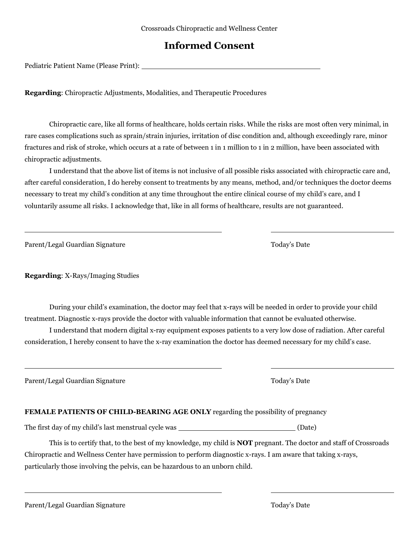## **Informed Consent**

Pediatric Patient Name (Please Print): \\concentrial \\concentrial \\concentrial \\concentrial \\concentrial \\concentrial \\concentrial \\concentrial \\concentrial \\concentrial \\concentrial \\concentrial \\concentrial \

**Regarding**: Chiropractic Adjustments, Modalities, and Therapeutic Procedures

Chiropractic care, like all forms of healthcare, holds certain risks. While the risks are most often very minimal, in rare cases complications such as sprain/strain injuries, irritation of disc condition and, although exceedingly rare, minor fractures and risk of stroke, which occurs at a rate of between 1 in 1 million to 1 in 2 million, have been associated with chiropractic adjustments.

I understand that the above list of items is not inclusive of all possible risks associated with chiropractic care and, after careful consideration, I do hereby consent to treatments by any means, method, and/or techniques the doctor deems necessary to treat my child's condition at any time throughout the entire clinical course of my child's care, and I voluntarily assume all risks. I acknowledge that, like in all forms of healthcare, results are not guaranteed.

Parent/Legal Guardian Signature Today's Date

**Regarding**: X-Rays/Imaging Studies

During your child's examination, the doctor may feel that x-rays will be needed in order to provide your child treatment. Diagnostic x-rays provide the doctor with valuable information that cannot be evaluated otherwise.

I understand that modern digital x-ray equipment exposes patients to a very low dose of radiation. After careful consideration, I hereby consent to have the x-ray examination the doctor has deemed necessary for my child's case.

#### **FEMALE PATIENTS OF CHILD-BEARING AGE ONLY** regarding the possibility of pregnancy

The first day of my child's last menstrual cycle was (Date)

This is to certify that, to the best of my knowledge, my child is **NOT** pregnant. The doctor and staff of Crossroads Chiropractic and Wellness Center have permission to perform diagnostic x-rays. I am aware that taking x-rays, particularly those involving the pelvis, can be hazardous to an unborn child.

Today's Date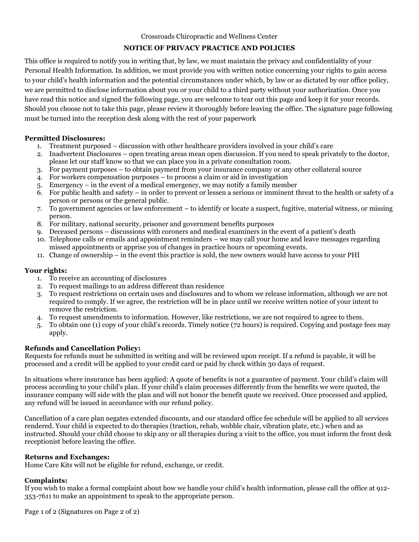Crossroads Chiropractic and Wellness Center

#### **NOTICE OF PRIVACY PRACTICE AND POLICIES**

This office is required to notify you in writing that, by law, we must maintain the privacy and confidentiality of your Personal Health Information. In addition, we must provide you with written notice concerning your rights to gain access to your child's health information and the potential circumstances under which, by law or as dictated by our office policy, we are permitted to disclose information about you or your child to a third party without your authorization. Once you have read this notice and signed the following page, you are welcome to tear out this page and keep it for your records. Should you choose not to take this page, please review it thoroughly before leaving the office. The signature page following must be turned into the reception desk along with the rest of your paperwork

#### **Permitted Disclosures:**

- 1. Treatment purposed discussion with other healthcare providers involved in your child's care
- 2. Inadvertent Disclosures open treating areas mean open discussion. If you need to speak privately to the doctor, please let our staff know so that we can place you in a private consultation room.
- 3. For payment purposes to obtain payment from your insurance company or any other collateral source
- 4. For workers compensation purposes to process a claim or aid in investigation
- 5. Emergency in the event of a medical emergency, we may notify a family member
- 6. For public health and safety in order to prevent or lessen a serious or imminent threat to the health or safety of a person or persons or the general public.
- 7. To government agencies or law enforcement to identify or locate a suspect, fugitive, material witness, or missing person.
- 8. For military, national security, prisoner and government benefits purposes
- 9. Deceased persons discussions with coroners and medical examiners in the event of a patient's death
- 10. Telephone calls or emails and appointment reminders we may call your home and leave messages regarding missed appointments or apprise you of changes in practice hours or upcoming events.
- 11. Change of ownership in the event this practice is sold, the new owners would have access to your PHI

#### **Your rights:**

- 1. To receive an accounting of disclosures
- 2. To request mailings to an address different than residence
- 3. To request restrictions on certain uses and disclosures and to whom we release information, although we are not required to comply. If we agree, the restriction will be in place until we receive written notice of your intent to remove the restriction.
- 4. To request amendments to information. However, like restrictions, we are not required to agree to them.
- 5. To obtain one (1) copy of your child's records. Timely notice (72 hours) is required. Copying and postage fees may apply.

#### **Refunds and Cancellation Policy:**

Requests for refunds must be submitted in writing and will be reviewed upon receipt. If a refund is payable, it will be processed and a credit will be applied to your credit card or paid by check within 30 days of request.

In situations where insurance has been applied: A quote of benefits is not a guarantee of payment. Your child's claim will process according to your child's plan. If your child's claim processes differently from the benefits we were quoted, the insurance company will side with the plan and will not honor the benefit quote we received. Once processed and applied, any refund will be issued in accordance with our refund policy.

Cancellation of a care plan negates extended discounts, and our standard office fee schedule will be applied to all services rendered. Your child is expected to do therapies (traction, rehab, wobble chair, vibration plate, etc.) when and as instructed. Should your child choose to skip any or all therapies during a visit to the office, you must inform the front desk receptionist before leaving the office.

#### **Returns and Exchanges:**

Home Care Kits will not be eligible for refund, exchange, or credit.

#### **Complaints:**

If you wish to make a formal complaint about how we handle your child's health information, please call the office at 912- 353-7611 to make an appointment to speak to the appropriate person.

Page 1 of 2 (Signatures on Page 2 of 2)